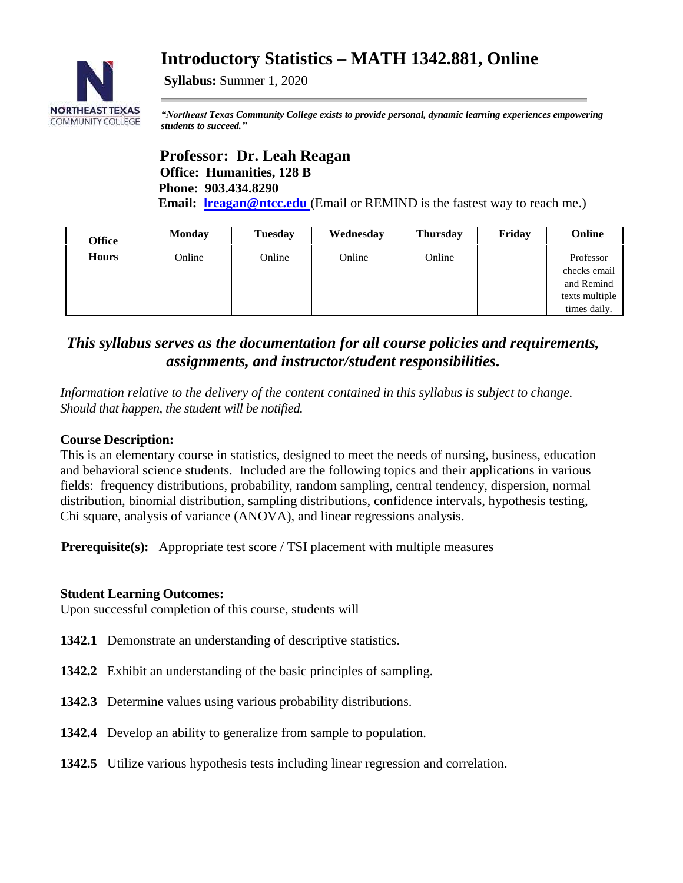# **Introductory Statistics – MATH 1342.881, Online**



**Syllabus:** Summer 1, 2020

*"Northeast Texas Community College exists to provide personal, dynamic learning experiences empowering students to succeed."*

## **Professor: Dr. Leah Reagan Office: Humanities, 128 B Phone: 903.434.8290 Email: [lreagan@ntcc.edu](mailto:lreagan@ntcc.edu)** (Email or REMIND is the fastest way to reach me.)

| <b>Office</b> | <b>Monday</b> | <b>Tuesday</b> | Wednesday | <b>Thursday</b> | Friday | Online                                                                    |
|---------------|---------------|----------------|-----------|-----------------|--------|---------------------------------------------------------------------------|
| <b>Hours</b>  | Online        | Online         | Online    | Online          |        | Professor<br>checks email<br>and Remind<br>texts multiple<br>times daily. |

## *This syllabus serves as the documentation for all course policies and requirements, assignments, and instructor/student responsibilities.*

*Information relative to the delivery of the content contained in this syllabus is subject to change. Should that happen, the student will be notified.*

## **Course Description:**

This is an elementary course in statistics, designed to meet the needs of nursing, business, education and behavioral science students. Included are the following topics and their applications in various fields: frequency distributions, probability, random sampling, central tendency, dispersion, normal distribution, binomial distribution, sampling distributions, confidence intervals, hypothesis testing, Chi square, analysis of variance (ANOVA), and linear regressions analysis.

**Prerequisite(s):** Appropriate test score / TSI placement with multiple measures

## **Student Learning Outcomes:**

Upon successful completion of this course, students will

- **1342.1** Demonstrate an understanding of descriptive statistics.
- **1342.2** Exhibit an understanding of the basic principles of sampling.
- **1342.3** Determine values using various probability distributions.
- **1342.4** Develop an ability to generalize from sample to population.
- **1342.5** Utilize various hypothesis tests including linear regression and correlation.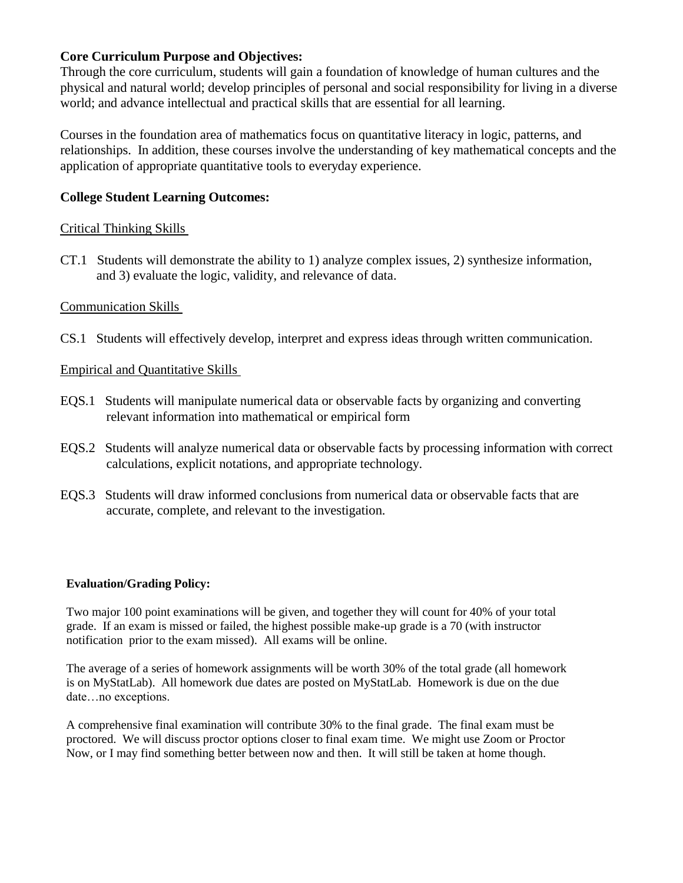## **Core Curriculum Purpose and Objectives:**

Through the core curriculum, students will gain a foundation of knowledge of human cultures and the physical and natural world; develop principles of personal and social responsibility for living in a diverse world; and advance intellectual and practical skills that are essential for all learning.

Courses in the foundation area of mathematics focus on quantitative literacy in logic, patterns, and relationships. In addition, these courses involve the understanding of key mathematical concepts and the application of appropriate quantitative tools to everyday experience.

## **College Student Learning Outcomes:**

## Critical Thinking Skills

CT.1 Students will demonstrate the ability to 1) analyze complex issues, 2) synthesize information, and 3) evaluate the logic, validity, and relevance of data.

## Communication Skills

CS.1 Students will effectively develop, interpret and express ideas through written communication.

## Empirical and Quantitative Skills

- EQS.1 Students will manipulate numerical data or observable facts by organizing and converting relevant information into mathematical or empirical form
- EQS.2 Students will analyze numerical data or observable facts by processing information with correct calculations, explicit notations, and appropriate technology.
- EQS.3 Students will draw informed conclusions from numerical data or observable facts that are accurate, complete, and relevant to the investigation.

## **Evaluation/Grading Policy:**

Two major 100 point examinations will be given, and together they will count for 40% of your total grade. If an exam is missed or failed, the highest possible make-up grade is a 70 (with instructor notification prior to the exam missed). All exams will be online.

The average of a series of homework assignments will be worth 30% of the total grade (all homework is on MyStatLab). All homework due dates are posted on MyStatLab. Homework is due on the due date…no exceptions.

A comprehensive final examination will contribute 30% to the final grade. The final exam must be proctored. We will discuss proctor options closer to final exam time. We might use Zoom or Proctor Now, or I may find something better between now and then. It will still be taken at home though.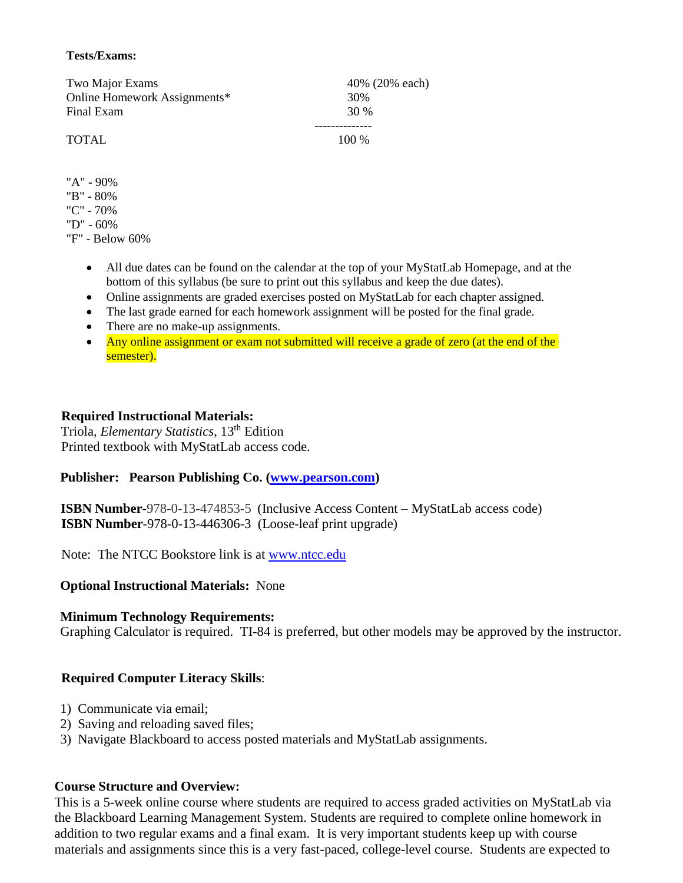#### **Tests/Exams:**

| Two Major Exams              | 40% (20% each) |
|------------------------------|----------------|
| Online Homework Assignments* | 30%            |
| Final Exam                   | 30 %           |
|                              |                |
| <b>TOTAL</b>                 | $100\%$        |
|                              |                |

- "A" 90%
- "B" 80%
- "C" 70%
- "D" 60%

"F" - Below 60%

- All due dates can be found on the calendar at the top of your MyStatLab Homepage, and at the bottom of this syllabus (be sure to print out this syllabus and keep the due dates).
- Online assignments are graded exercises posted on MyStatLab for each chapter assigned.
- The last grade earned for each homework assignment will be posted for the final grade.
- There are no make-up assignments.
- Any online assignment or exam not submitted will receive a grade of zero (at the end of the semester).

## **Required Instructional Materials:**

 Triola, *Elementary Statistics*, 13th Edition Printed textbook with MyStatLab access code.

## Publisher: Pearson Publishing Co. [\(www.pearson.com\)](http://www.pearson.com/)

 **ISBN Number**-978-0-13-474853-5 (Inclusive Access Content – MyStatLab access code) **ISBN Number**-978-0-13-446306-3 (Loose-leaf print upgrade)

Note: The NTCC Bookstore link is at <u>www.ntcc.edu</u>

## **Optional Instructional Materials:** None

#### **Minimum Technology Requirements:**

Graphing Calculator is required. TI-84 is preferred, but other models may be approved by the instructor.

## **Required Computer Literacy Skills**:

- 1) Communicate via email;
- 2) Saving and reloading saved files;
- 3) Navigate Blackboard to access posted materials and MyStatLab assignments.

## **Course Structure and Overview:**

This is a 5-week online course where students are required to access graded activities on MyStatLab via the Blackboard Learning Management System. Students are required to complete online homework in addition to two regular exams and a final exam. It is very important students keep up with course materials and assignments since this is a very fast-paced, college-level course. Students are expected to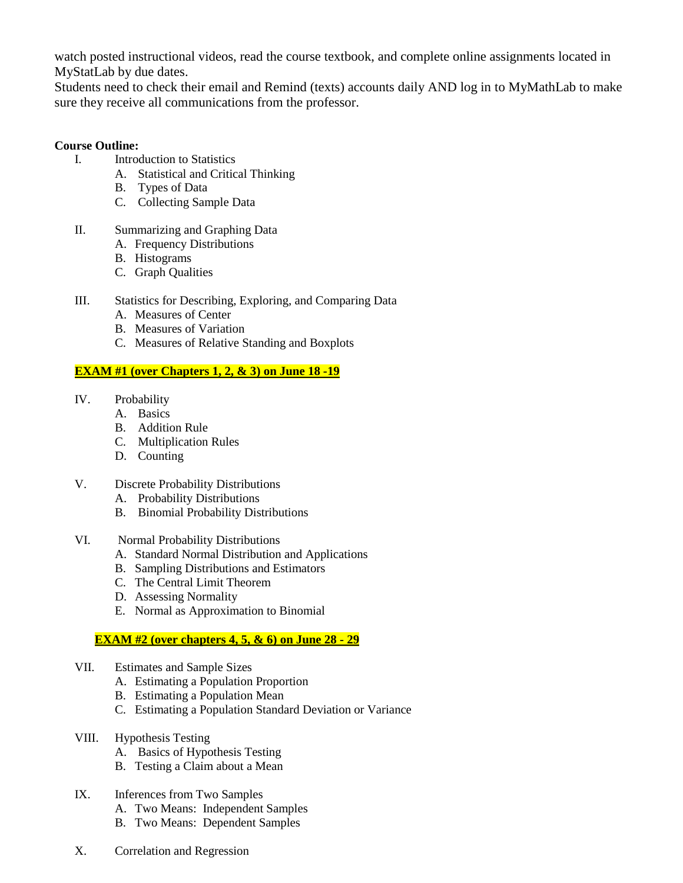watch posted instructional videos, read the course textbook, and complete online assignments located in MyStatLab by due dates.

Students need to check their email and Remind (texts) accounts daily AND log in to MyMathLab to make sure they receive all communications from the professor.

## **Course Outline:**

- I. Introduction to Statistics
	- A. Statistical and Critical Thinking
	- B. Types of Data
	- C. Collecting Sample Data
- II. Summarizing and Graphing Data
	- A. Frequency Distributions
	- B. Histograms
	- C. Graph Qualities
- III. Statistics for Describing, Exploring, and Comparing Data
	- A. Measures of Center
	- B. Measures of Variation
	- C. Measures of Relative Standing and Boxplots

## **EXAM #1 (over Chapters 1, 2, & 3) on June 18 -19**

- IV. Probability
	- A. Basics
	- B. Addition Rule
	- C. Multiplication Rules
	- D. Counting
- V. Discrete Probability Distributions
	- A. Probability Distributions
	- B. Binomial Probability Distributions
- VI. Normal Probability Distributions
	- A. Standard Normal Distribution and Applications
	- B. Sampling Distributions and Estimators
	- C. The Central Limit Theorem
	- D. Assessing Normality
	- E. Normal as Approximation to Binomial

## **EXAM #2 (over chapters 4, 5, & 6) on June 28 - 29**

- VII. Estimates and Sample Sizes
	- A. Estimating a Population Proportion
	- B. Estimating a Population Mean
	- C. Estimating a Population Standard Deviation or Variance
- VIII. Hypothesis Testing
	- A. Basics of Hypothesis Testing
	- B. Testing a Claim about a Mean
- IX. Inferences from Two Samples
	- A. Two Means: Independent Samples
	- B. Two Means: Dependent Samples
- X. Correlation and Regression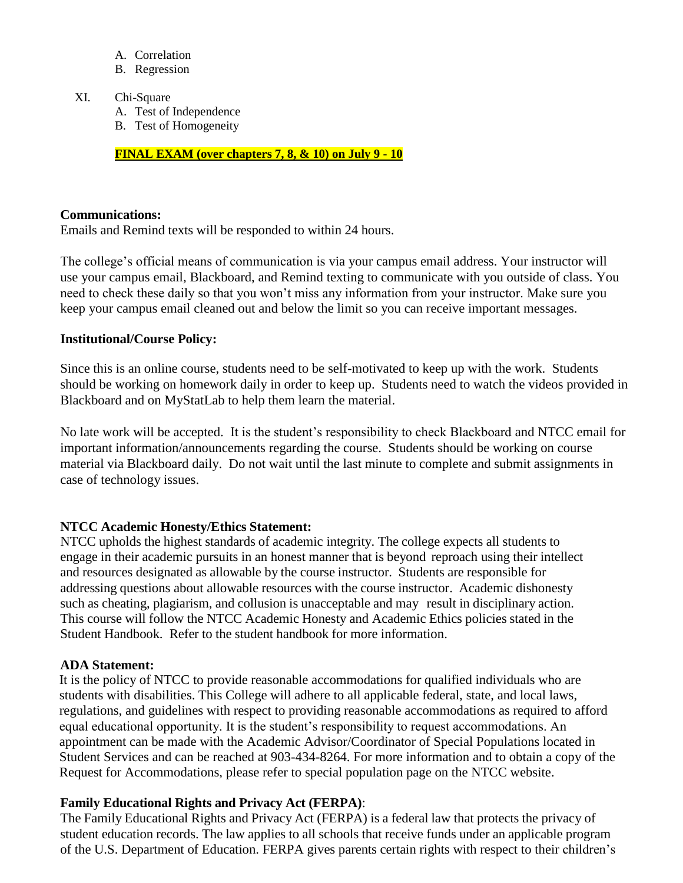- A. Correlation
- B. Regression

#### XI. Chi-Square

- A. Test of Independence
- B. Test of Homogeneity

**FINAL EXAM (over chapters 7, 8, & 10) on July 9 - 10**

## **Communications:**

Emails and Remind texts will be responded to within 24 hours.

The college's official means of communication is via your campus email address. Your instructor will use your campus email, Blackboard, and Remind texting to communicate with you outside of class. You need to check these daily so that you won't miss any information from your instructor. Make sure you keep your campus email cleaned out and below the limit so you can receive important messages.

#### **Institutional/Course Policy:**

Since this is an online course, students need to be self-motivated to keep up with the work. Students should be working on homework daily in order to keep up. Students need to watch the videos provided in Blackboard and on MyStatLab to help them learn the material.

No late work will be accepted. It is the student's responsibility to check Blackboard and NTCC email for important information/announcements regarding the course. Students should be working on course material via Blackboard daily. Do not wait until the last minute to complete and submit assignments in case of technology issues.

## **NTCC Academic Honesty/Ethics Statement:**

NTCC upholds the highest standards of academic integrity. The college expects all students to engage in their academic pursuits in an honest manner that is beyond reproach using their intellect and resources designated as allowable by the course instructor. Students are responsible for addressing questions about allowable resources with the course instructor. Academic dishonesty such as cheating, plagiarism, and collusion is unacceptable and may result in disciplinary action. This course will follow the NTCC Academic Honesty and Academic Ethics policies stated in the Student Handbook. Refer to the student handbook for more information.

## **ADA Statement:**

It is the policy of NTCC to provide reasonable accommodations for qualified individuals who are students with disabilities. This College will adhere to all applicable federal, state, and local laws, regulations, and guidelines with respect to providing reasonable accommodations as required to afford equal educational opportunity. It is the student's responsibility to request accommodations. An appointment can be made with the Academic Advisor/Coordinator of Special Populations located in Student Services and can be reached at 903-434-8264. For more information and to obtain a copy of the Request for Accommodations, please refer to special population page on the NTCC websit[e.](http://www.ntcc.edu/index.php?module=Pagesetter&func=viewpub&tid=111&pid=1) 

## **Family Educational Rights and Privacy Act (FERPA)**:

The Family Educational Rights and Privacy Act (FERPA) is a federal law that protects the privacy of student education records. The law applies to all schools that receive funds under an applicable program of the U.S. Department of Education. FERPA gives parents certain rights with respect to their children's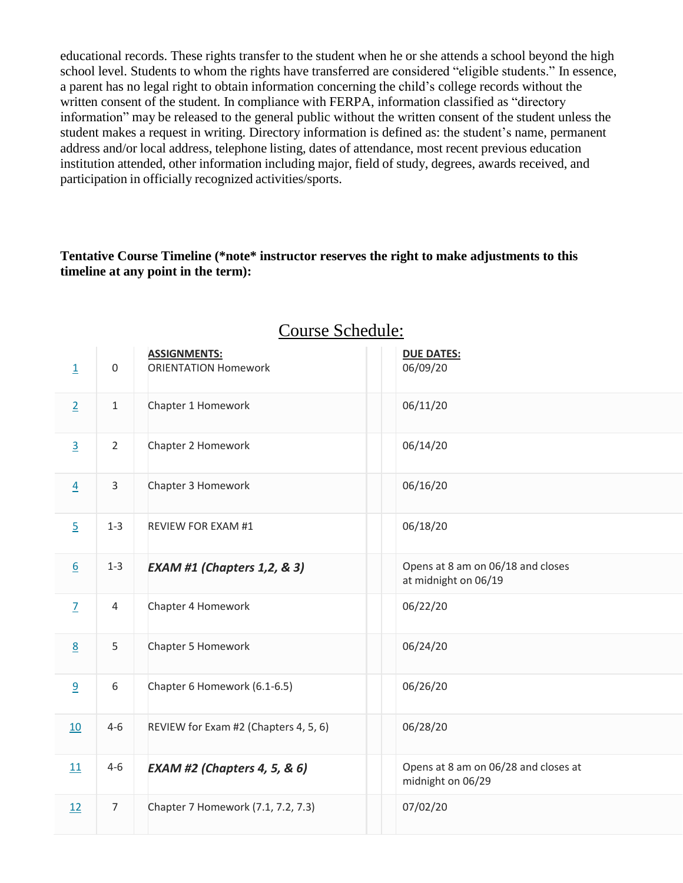educational records. These rights transfer to the student when he or she attends a school beyond the high school level. Students to whom the rights have transferred are considered "eligible students." In essence, a parent has no legal right to obtain information concerning the child's college records without the written consent of the student. In compliance with FERPA, information classified as "directory information" may be released to the general public without the written consent of the student unless the student makes a request in writing. Directory information is defined as: the student's name, permanent address and/or local address, telephone listing, dates of attendance, most recent previous education institution attended, other information including major, field of study, degrees, awards received, and participation in officially recognized activities/sports.

## **Tentative Course Timeline (\*note\* instructor reserves the right to make adjustments to this timeline at any point in the term):**

| $\underline{\mathbbm{1}}$ | $\boldsymbol{0}$ | <b>ASSIGNMENTS:</b><br><b>ORIENTATION Homework</b> | <b>DUE DATES:</b><br>06/09/20                             |  |
|---------------------------|------------------|----------------------------------------------------|-----------------------------------------------------------|--|
| $\overline{2}$            | $\mathbf 1$      | Chapter 1 Homework                                 | 06/11/20                                                  |  |
| $\overline{3}$            | $\overline{2}$   | Chapter 2 Homework                                 | 06/14/20                                                  |  |
| $\overline{4}$            | 3                | Chapter 3 Homework                                 | 06/16/20                                                  |  |
| $\overline{5}$            | $1 - 3$          | <b>REVIEW FOR EXAM #1</b>                          | 06/18/20                                                  |  |
| 6                         | $1 - 3$          | <b>EXAM #1 (Chapters 1,2, &amp; 3)</b>             | Opens at 8 am on 06/18 and closes<br>at midnight on 06/19 |  |
| $\overline{1}$            | 4                | Chapter 4 Homework                                 | 06/22/20                                                  |  |
| $\underline{8}$           | 5                | Chapter 5 Homework                                 | 06/24/20                                                  |  |
| $\overline{6}$            | 6                | Chapter 6 Homework (6.1-6.5)                       | 06/26/20                                                  |  |
| 10                        | $4 - 6$          | REVIEW for Exam #2 (Chapters 4, 5, 6)              | 06/28/20                                                  |  |
| 11                        | $4 - 6$          | <b>EXAM #2 (Chapters 4, 5, &amp; 6)</b>            | Opens at 8 am on 06/28 and closes at<br>midnight on 06/29 |  |
| 12                        | $\overline{7}$   | Chapter 7 Homework (7.1, 7.2, 7.3)                 | 07/02/20                                                  |  |

# Course Schedule: